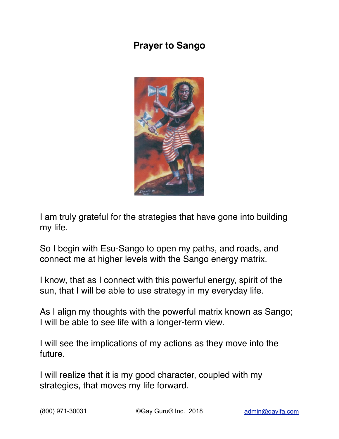## **Prayer to Sango**



I am truly grateful for the strategies that have gone into building my life.

So I begin with Esu-Sango to open my paths, and roads, and connect me at higher levels with the Sango energy matrix.

I know, that as I connect with this powerful energy, spirit of the sun, that I will be able to use strategy in my everyday life.

As I align my thoughts with the powerful matrix known as Sango; I will be able to see life with a longer-term view.

I will see the implications of my actions as they move into the future.

I will realize that it is my good character, coupled with my strategies, that moves my life forward.